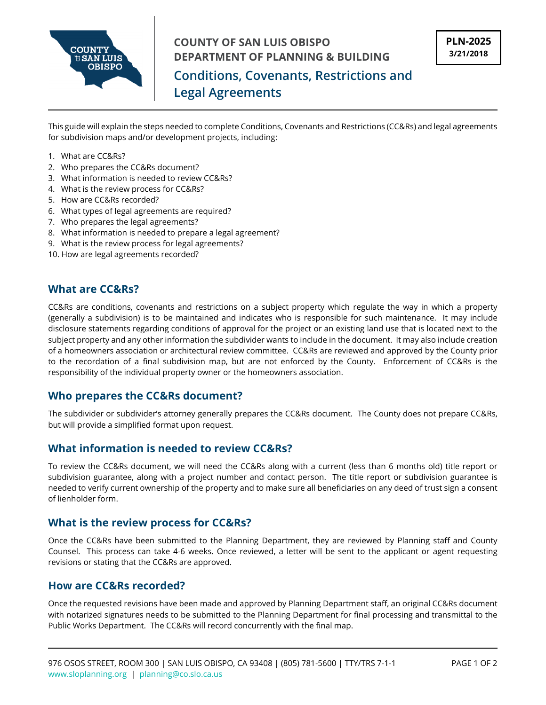

This guide will explain the steps needed to complete Conditions, Covenants and Restrictions (CC&Rs) and legal agreements for subdivision maps and/or development projects, including:

- 1. What are CC&Rs?
- 2. Who prepares the CC&Rs document?
- 3. What information is needed to review CC&Rs?
- 4. What is the review process for CC&Rs?
- 5. How are CC&Rs recorded?
- 6. What types of legal agreements are required?
- 7. Who prepares the legal agreements?
- 8. What information is needed to prepare a legal agreement?
- 9. What is the review process for legal agreements?
- 10. How are legal agreements recorded?

#### **What are CC&Rs?**

CC&Rs are conditions, covenants and restrictions on a subject property which regulate the way in which a property (generally a subdivision) is to be maintained and indicates who is responsible for such maintenance. It may include disclosure statements regarding conditions of approval for the project or an existing land use that is located next to the subject property and any other information the subdivider wants to include in the document. It may also include creation of a homeowners association or architectural review committee. CC&Rs are reviewed and approved by the County prior to the recordation of a final subdivision map, but are not enforced by the County. Enforcement of CC&Rs is the responsibility of the individual property owner or the homeowners association.

#### **Who prepares the CC&Rs document?**

The subdivider or subdivider's attorney generally prepares the CC&Rs document. The County does not prepare CC&Rs, but will provide a simplified format upon request.

### **What information is needed to review CC&Rs?**

To review the CC&Rs document, we will need the CC&Rs along with a current (less than 6 months old) title report or subdivision guarantee, along with a project number and contact person. The title report or subdivision guarantee is needed to verify current ownership of the property and to make sure all beneficiaries on any deed of trust sign a consent of lienholder form.

#### **What is the review process for CC&Rs?**

Once the CC&Rs have been submitted to the Planning Department, they are reviewed by Planning staff and County Counsel. This process can take 4-6 weeks. Once reviewed, a letter will be sent to the applicant or agent requesting revisions or stating that the CC&Rs are approved.

#### **How are CC&Rs recorded?**

Once the requested revisions have been made and approved by Planning Department staff, an original CC&Rs document with notarized signatures needs to be submitted to the Planning Department for final processing and transmittal to the Public Works Department. The CC&Rs will record concurrently with the final map.